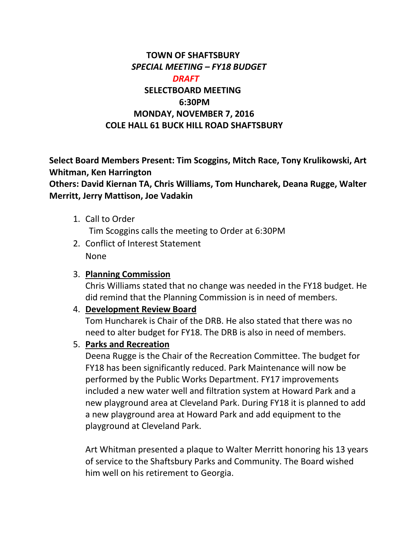### **TOWN OF SHAFTSBURY** *SPECIAL MEETING – FY18 BUDGET DRAFT*  **SELECTBOARD MEETING 6:30PM MONDAY, NOVEMBER 7, 2016 COLE HALL 61 BUCK HILL ROAD SHAFTSBURY**

**Select Board Members Present: Tim Scoggins, Mitch Race, Tony Krulikowski, Art Whitman, Ken Harrington**

**Others: David Kiernan TA, Chris Williams, Tom Huncharek, Deana Rugge, Walter Merritt, Jerry Mattison, Joe Vadakin**

- 1. Call to Order Tim Scoggins calls the meeting to Order at 6:30PM
- 2. Conflict of Interest Statement None

#### 3. **Planning Commission**

Chris Williams stated that no change was needed in the FY18 budget. He did remind that the Planning Commission is in need of members.

#### 4. **Development Review Board**

Tom Huncharek is Chair of the DRB. He also stated that there was no need to alter budget for FY18. The DRB is also in need of members.

#### 5. **Parks and Recreation**

Deena Rugge is the Chair of the Recreation Committee. The budget for FY18 has been significantly reduced. Park Maintenance will now be performed by the Public Works Department. FY17 improvements included a new water well and filtration system at Howard Park and a new playground area at Cleveland Park. During FY18 it is planned to add a new playground area at Howard Park and add equipment to the playground at Cleveland Park.

Art Whitman presented a plaque to Walter Merritt honoring his 13 years of service to the Shaftsbury Parks and Community. The Board wished him well on his retirement to Georgia.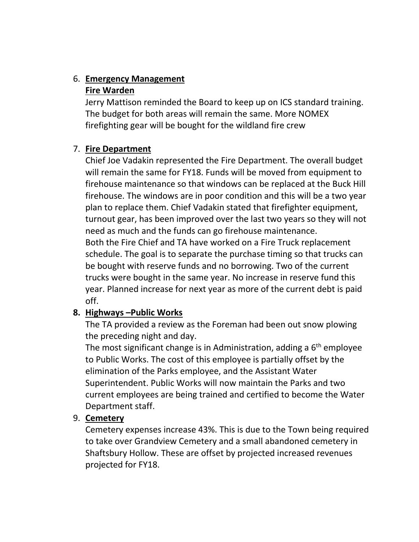# 6. **Emergency Management**

#### **Fire Warden**

Jerry Mattison reminded the Board to keep up on ICS standard training. The budget for both areas will remain the same. More NOMEX firefighting gear will be bought for the wildland fire crew

### 7. **Fire Department**

Chief Joe Vadakin represented the Fire Department. The overall budget will remain the same for FY18. Funds will be moved from equipment to firehouse maintenance so that windows can be replaced at the Buck Hill firehouse. The windows are in poor condition and this will be a two year plan to replace them. Chief Vadakin stated that firefighter equipment, turnout gear, has been improved over the last two years so they will not need as much and the funds can go firehouse maintenance. Both the Fire Chief and TA have worked on a Fire Truck replacement schedule. The goal is to separate the purchase timing so that trucks can be bought with reserve funds and no borrowing. Two of the current

trucks were bought in the same year. No increase in reserve fund this year. Planned increase for next year as more of the current debt is paid off.

## **8. Highways –Public Works**

The TA provided a review as the Foreman had been out snow plowing the preceding night and day.

The most significant change is in Administration, adding a  $6<sup>th</sup>$  employee to Public Works. The cost of this employee is partially offset by the elimination of the Parks employee, and the Assistant Water Superintendent. Public Works will now maintain the Parks and two current employees are being trained and certified to become the Water Department staff.

### 9. **Cemetery**

Cemetery expenses increase 43%. This is due to the Town being required to take over Grandview Cemetery and a small abandoned cemetery in Shaftsbury Hollow. These are offset by projected increased revenues projected for FY18.